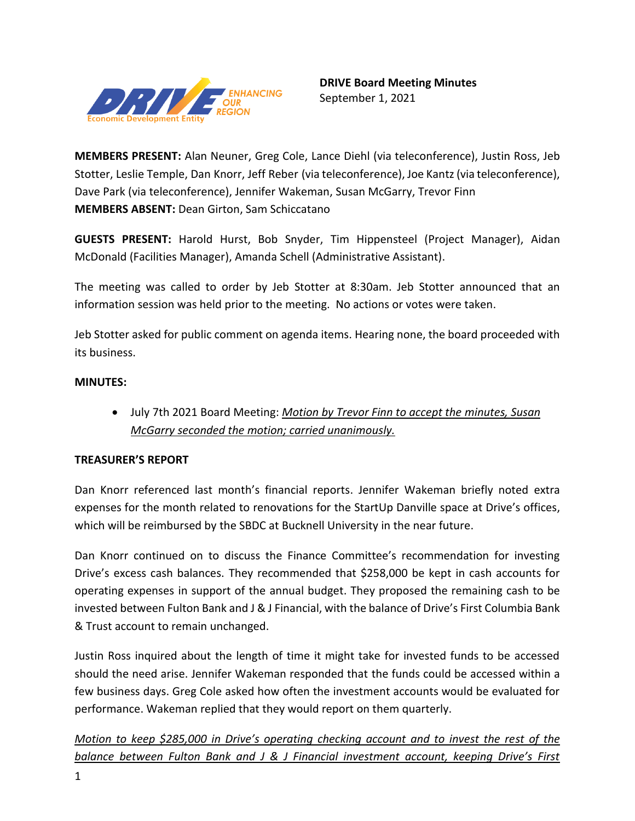

**MEMBERS PRESENT:** Alan Neuner, Greg Cole, Lance Diehl (via teleconference), Justin Ross, Jeb Stotter, Leslie Temple, Dan Knorr, Jeff Reber (via teleconference), Joe Kantz(via teleconference), Dave Park (via teleconference), Jennifer Wakeman, Susan McGarry, Trevor Finn **MEMBERS ABSENT:** Dean Girton, Sam Schiccatano

**GUESTS PRESENT:** Harold Hurst, Bob Snyder, Tim Hippensteel (Project Manager), Aidan McDonald (Facilities Manager), Amanda Schell (Administrative Assistant).

The meeting was called to order by Jeb Stotter at 8:30am. Jeb Stotter announced that an information session was held prior to the meeting. No actions or votes were taken.

Jeb Stotter asked for public comment on agenda items. Hearing none, the board proceeded with its business.

# **MINUTES:**

• July 7th 2021 Board Meeting: *Motion by Trevor Finn to accept the minutes, Susan McGarry seconded the motion; carried unanimously.* 

# **TREASURER'S REPORT**

Dan Knorr referenced last month's financial reports. Jennifer Wakeman briefly noted extra expenses for the month related to renovations for the StartUp Danville space at Drive's offices, which will be reimbursed by the SBDC at Bucknell University in the near future.

Dan Knorr continued on to discuss the Finance Committee's recommendation for investing Drive's excess cash balances. They recommended that \$258,000 be kept in cash accounts for operating expenses in support of the annual budget. They proposed the remaining cash to be invested between Fulton Bank and J & J Financial, with the balance of Drive's First Columbia Bank & Trust account to remain unchanged.

Justin Ross inquired about the length of time it might take for invested funds to be accessed should the need arise. Jennifer Wakeman responded that the funds could be accessed within a few business days. Greg Cole asked how often the investment accounts would be evaluated for performance. Wakeman replied that they would report on them quarterly.

*Motion to keep \$285,000 in Drive's operating checking account and to invest the rest of the balance between Fulton Bank and J & J Financial investment account, keeping Drive's First*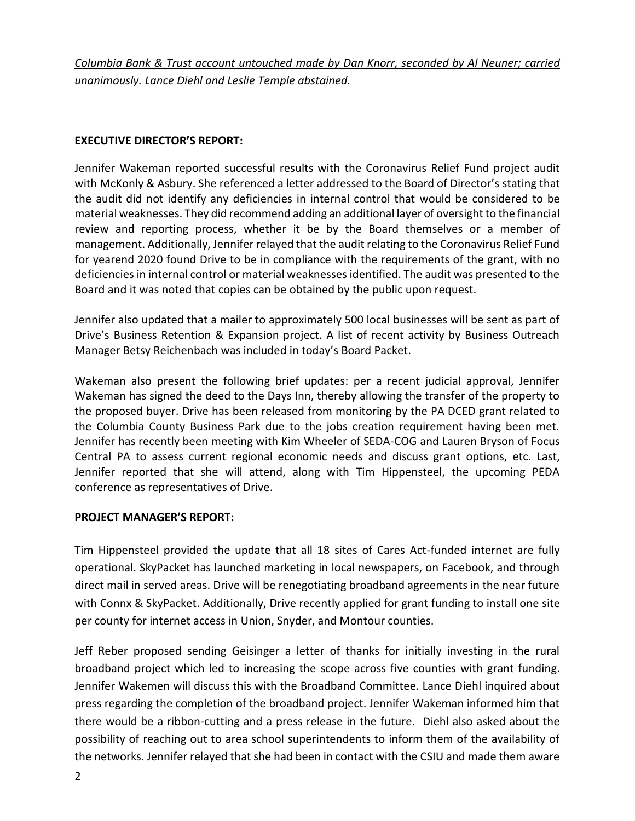*Columbia Bank & Trust account untouched made by Dan Knorr, seconded by Al Neuner; carried unanimously. Lance Diehl and Leslie Temple abstained.*

## **EXECUTIVE DIRECTOR'S REPORT:**

Jennifer Wakeman reported successful results with the Coronavirus Relief Fund project audit with McKonly & Asbury. She referenced a letter addressed to the Board of Director's stating that the audit did not identify any deficiencies in internal control that would be considered to be material weaknesses. They did recommend adding an additional layer of oversight to the financial review and reporting process, whether it be by the Board themselves or a member of management. Additionally, Jennifer relayed that the audit relating to the Coronavirus Relief Fund for yearend 2020 found Drive to be in compliance with the requirements of the grant, with no deficiencies in internal control or material weaknesses identified. The audit was presented to the Board and it was noted that copies can be obtained by the public upon request.

Jennifer also updated that a mailer to approximately 500 local businesses will be sent as part of Drive's Business Retention & Expansion project. A list of recent activity by Business Outreach Manager Betsy Reichenbach was included in today's Board Packet.

Wakeman also present the following brief updates: per a recent judicial approval, Jennifer Wakeman has signed the deed to the Days Inn, thereby allowing the transfer of the property to the proposed buyer. Drive has been released from monitoring by the PA DCED grant related to the Columbia County Business Park due to the jobs creation requirement having been met. Jennifer has recently been meeting with Kim Wheeler of SEDA-COG and Lauren Bryson of Focus Central PA to assess current regional economic needs and discuss grant options, etc. Last, Jennifer reported that she will attend, along with Tim Hippensteel, the upcoming PEDA conference as representatives of Drive.

## **PROJECT MANAGER'S REPORT:**

Tim Hippensteel provided the update that all 18 sites of Cares Act-funded internet are fully operational. SkyPacket has launched marketing in local newspapers, on Facebook, and through direct mail in served areas. Drive will be renegotiating broadband agreements in the near future with Connx & SkyPacket. Additionally, Drive recently applied for grant funding to install one site per county for internet access in Union, Snyder, and Montour counties.

Jeff Reber proposed sending Geisinger a letter of thanks for initially investing in the rural broadband project which led to increasing the scope across five counties with grant funding. Jennifer Wakemen will discuss this with the Broadband Committee. Lance Diehl inquired about press regarding the completion of the broadband project. Jennifer Wakeman informed him that there would be a ribbon-cutting and a press release in the future. Diehl also asked about the possibility of reaching out to area school superintendents to inform them of the availability of the networks. Jennifer relayed that she had been in contact with the CSIU and made them aware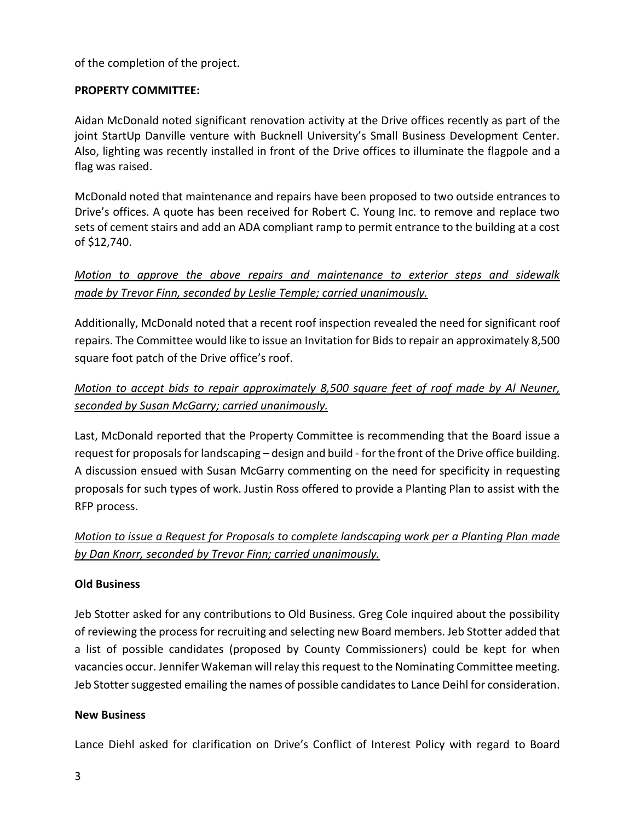of the completion of the project.

## **PROPERTY COMMITTEE:**

Aidan McDonald noted significant renovation activity at the Drive offices recently as part of the joint StartUp Danville venture with Bucknell University's Small Business Development Center. Also, lighting was recently installed in front of the Drive offices to illuminate the flagpole and a flag was raised.

McDonald noted that maintenance and repairs have been proposed to two outside entrances to Drive's offices. A quote has been received for Robert C. Young Inc. to remove and replace two sets of cement stairs and add an ADA compliant ramp to permit entrance to the building at a cost of \$12,740.

*Motion to approve the above repairs and maintenance to exterior steps and sidewalk made by Trevor Finn, seconded by Leslie Temple; carried unanimously.*

Additionally, McDonald noted that a recent roof inspection revealed the need for significant roof repairs. The Committee would like to issue an Invitation for Bids to repair an approximately 8,500 square foot patch of the Drive office's roof.

# *Motion to accept bids to repair approximately 8,500 square feet of roof made by Al Neuner, seconded by Susan McGarry; carried unanimously.*

Last, McDonald reported that the Property Committee is recommending that the Board issue a request for proposals for landscaping – design and build - for the front of the Drive office building. A discussion ensued with Susan McGarry commenting on the need for specificity in requesting proposals for such types of work. Justin Ross offered to provide a Planting Plan to assist with the RFP process.

*Motion to issue a Request for Proposals to complete landscaping work per a Planting Plan made by Dan Knorr, seconded by Trevor Finn; carried unanimously.*

## **Old Business**

Jeb Stotter asked for any contributions to Old Business. Greg Cole inquired about the possibility of reviewing the process for recruiting and selecting new Board members. Jeb Stotter added that a list of possible candidates (proposed by County Commissioners) could be kept for when vacancies occur. Jennifer Wakeman will relay this request to the Nominating Committee meeting. Jeb Stotter suggested emailing the names of possible candidates to Lance Deihl for consideration.

## **New Business**

Lance Diehl asked for clarification on Drive's Conflict of Interest Policy with regard to Board